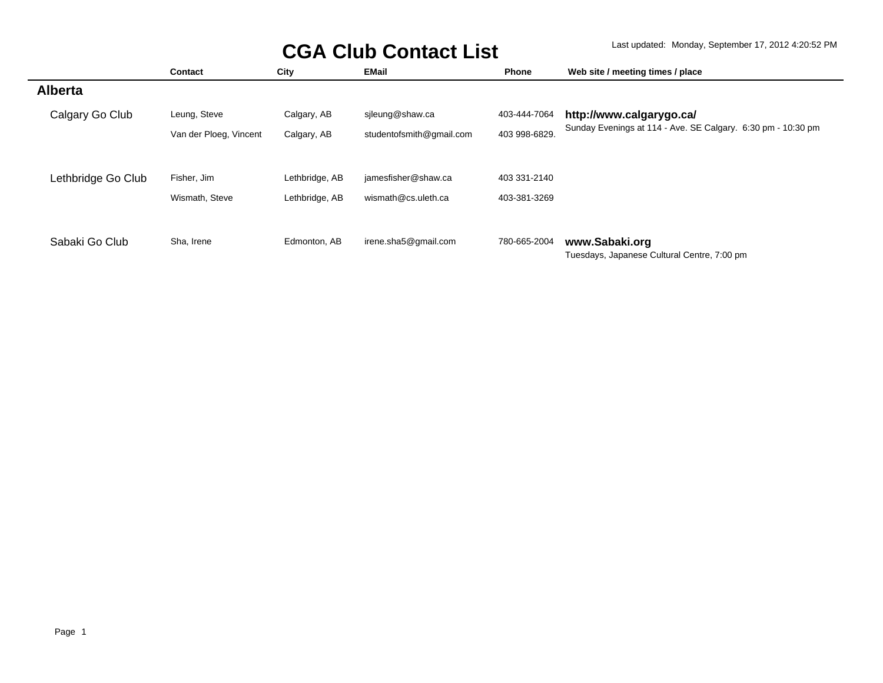|                    | Contact                | City           | <b>EMail</b>             | <b>Phone</b>  | Web site / meeting times / place                             |
|--------------------|------------------------|----------------|--------------------------|---------------|--------------------------------------------------------------|
| <b>Alberta</b>     |                        |                |                          |               |                                                              |
| Calgary Go Club    | Leung, Steve           | Calgary, AB    | sileung@shaw.ca          | 403-444-7064  | http://www.calgarygo.ca/                                     |
|                    | Van der Ploeg, Vincent | Calgary, AB    | studentofsmith@gmail.com | 403 998-6829. | Sunday Evenings at 114 - Ave. SE Calgary. 6:30 pm - 10:30 pm |
|                    |                        |                |                          |               |                                                              |
| Lethbridge Go Club | Fisher, Jim            | Lethbridge, AB | jamesfisher@shaw.ca      | 403 331-2140  |                                                              |
|                    | Wismath, Steve         | Lethbridge, AB | wismath@cs.uleth.ca      | 403-381-3269  |                                                              |
|                    |                        |                |                          |               |                                                              |
| Sabaki Go Club     | Sha, Irene             | Edmonton, AB   | irene.sha5@gmail.com     | 780-665-2004  | www.Sabaki.org                                               |
|                    |                        |                |                          |               | Tuesdays, Japanese Cultural Centre, 7:00 pm                  |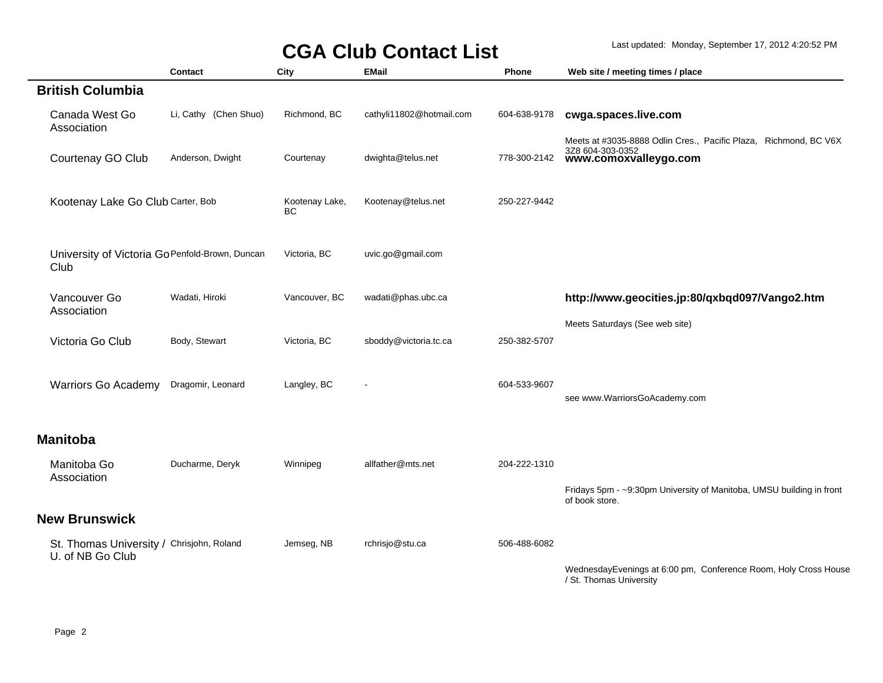|                                                               | Contact               | City                        | <b>EMail</b>             | Phone        | Web site / meeting times / place                                                                              |
|---------------------------------------------------------------|-----------------------|-----------------------------|--------------------------|--------------|---------------------------------------------------------------------------------------------------------------|
| <b>British Columbia</b>                                       |                       |                             |                          |              |                                                                                                               |
| Canada West Go<br>Association                                 | Li, Cathy (Chen Shuo) | Richmond, BC                | cathyli11802@hotmail.com | 604-638-9178 | cwga.spaces.live.com                                                                                          |
| Courtenay GO Club                                             | Anderson, Dwight      | Courtenay                   | dwighta@telus.net        | 778-300-2142 | Meets at #3035-8888 Odlin Cres., Pacific Plaza, Richmond, BC V6X<br>3Z8 604-303-0352<br>www.comoxvalleygo.com |
| Kootenay Lake Go Club Carter, Bob                             |                       | Kootenay Lake,<br><b>BC</b> | Kootenay@telus.net       | 250-227-9442 |                                                                                                               |
| University of Victoria Go Penfold-Brown, Duncan<br>Club       |                       | Victoria, BC                | uvic.go@gmail.com        |              |                                                                                                               |
| Vancouver Go<br>Association                                   | Wadati, Hiroki        | Vancouver, BC               | wadati@phas.ubc.ca       |              | http://www.geocities.jp:80/qxbqd097/Vango2.htm                                                                |
| Victoria Go Club                                              | Body, Stewart         | Victoria, BC                | sboddy@victoria.tc.ca    | 250-382-5707 | Meets Saturdays (See web site)                                                                                |
| <b>Warriors Go Academy</b>                                    | Dragomir, Leonard     | Langley, BC                 |                          | 604-533-9607 | see www.WarriorsGoAcademy.com                                                                                 |
| <b>Manitoba</b>                                               |                       |                             |                          |              |                                                                                                               |
| Manitoba Go<br>Association                                    | Ducharme, Deryk       | Winnipeg                    | allfather@mts.net        | 204-222-1310 | Fridays 5pm - ~9:30pm University of Manitoba, UMSU building in front                                          |
| <b>New Brunswick</b>                                          |                       |                             |                          |              | of book store.                                                                                                |
| St. Thomas University / Chrisjohn, Roland<br>U. of NB Go Club |                       | Jemseg, NB                  | rchrisjo@stu.ca          | 506-488-6082 |                                                                                                               |
|                                                               |                       |                             |                          |              | WednesdayEvenings at 6:00 pm, Conference Room, Holy Cross House<br>/ St. Thomas University                    |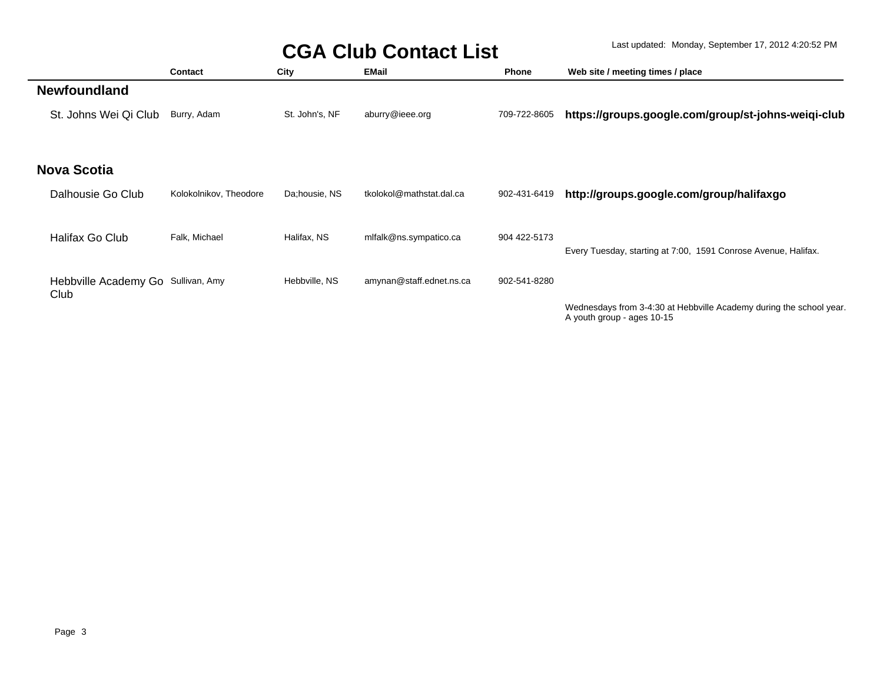|                                    | Contact                | City           | <b>EMail</b>             | <b>Phone</b> | Web site / meeting times / place                                                                  |
|------------------------------------|------------------------|----------------|--------------------------|--------------|---------------------------------------------------------------------------------------------------|
| <b>Newfoundland</b>                |                        |                |                          |              |                                                                                                   |
| St. Johns Wei Qi Club              | Burry, Adam            | St. John's, NF | aburry@ieee.org          | 709-722-8605 | https://groups.google.com/group/st-johns-weiqi-club                                               |
|                                    |                        |                |                          |              |                                                                                                   |
| <b>Nova Scotia</b>                 |                        |                |                          |              |                                                                                                   |
|                                    |                        |                |                          |              |                                                                                                   |
| Dalhousie Go Club                  | Kolokolnikov, Theodore | Da;housie, NS  | tkolokol@mathstat.dal.ca | 902-431-6419 | http://groups.google.com/group/halifaxgo                                                          |
|                                    |                        |                |                          |              |                                                                                                   |
| Halifax Go Club                    | Falk, Michael          | Halifax, NS    | mlfalk@ns.sympatico.ca   | 904 422-5173 |                                                                                                   |
|                                    |                        |                |                          |              | Every Tuesday, starting at 7:00, 1591 Conrose Avenue, Halifax.                                    |
| Hebbville Academy Go Sullivan, Amy |                        | Hebbville, NS  | amynan@staff.ednet.ns.ca | 902-541-8280 |                                                                                                   |
| Club                               |                        |                |                          |              |                                                                                                   |
|                                    |                        |                |                          |              | Wednesdays from 3-4:30 at Hebbyille Academy during the school year.<br>A youth group - ages 10-15 |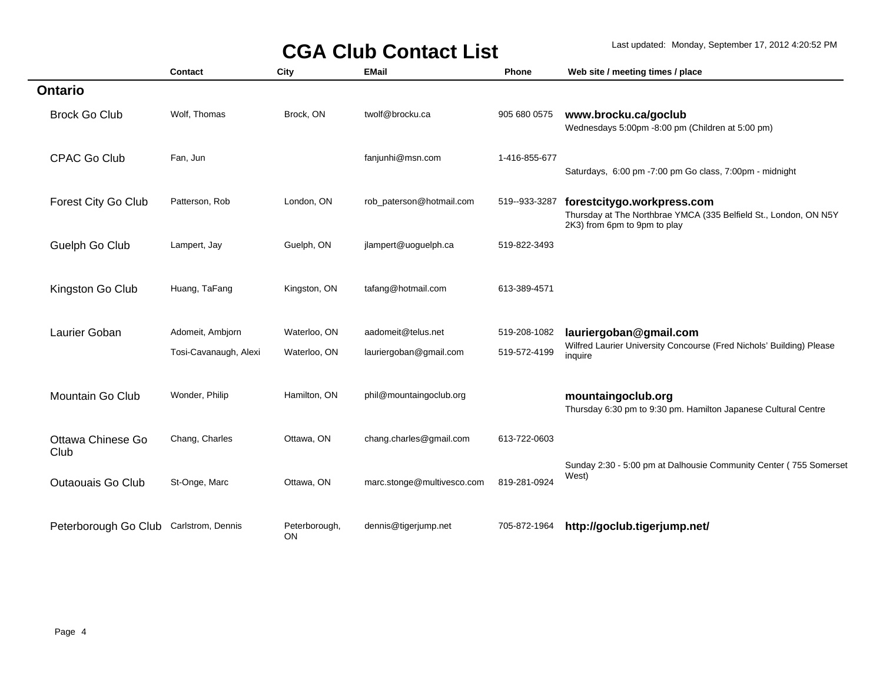|                           | <b>Contact</b>        | City                 | <b>EMail</b>               | Phone         | Web site / meeting times / place                                                                                               |
|---------------------------|-----------------------|----------------------|----------------------------|---------------|--------------------------------------------------------------------------------------------------------------------------------|
| <b>Ontario</b>            |                       |                      |                            |               |                                                                                                                                |
| <b>Brock Go Club</b>      | Wolf, Thomas          | Brock, ON            | twolf@brocku.ca            | 905 680 0575  | www.brocku.ca/goclub<br>Wednesdays 5:00pm -8:00 pm (Children at 5:00 pm)                                                       |
| <b>CPAC Go Club</b>       | Fan, Jun              |                      | fanjunhi@msn.com           | 1-416-855-677 | Saturdays, 6:00 pm -7:00 pm Go class, 7:00pm - midnight                                                                        |
| Forest City Go Club       | Patterson, Rob        | London, ON           | rob_paterson@hotmail.com   | 519--933-3287 | forestcitygo.workpress.com<br>Thursday at The Northbrae YMCA (335 Belfield St., London, ON N5Y<br>2K3) from 6pm to 9pm to play |
| Guelph Go Club            | Lampert, Jay          | Guelph, ON           | jlampert@uoguelph.ca       | 519-822-3493  |                                                                                                                                |
| Kingston Go Club          | Huang, TaFang         | Kingston, ON         | tafang@hotmail.com         | 613-389-4571  |                                                                                                                                |
| Laurier Goban             | Adomeit, Ambjorn      | Waterloo, ON         | aadomeit@telus.net         | 519-208-1082  | lauriergoban@gmail.com                                                                                                         |
|                           | Tosi-Cavanaugh, Alexi | Waterloo, ON         | lauriergoban@gmail.com     | 519-572-4199  | Wilfred Laurier University Concourse (Fred Nichols' Building) Please<br>inquire                                                |
| Mountain Go Club          | Wonder, Philip        | Hamilton, ON         | phil@mountaingoclub.org    |               | mountaingoclub.org<br>Thursday 6:30 pm to 9:30 pm. Hamilton Japanese Cultural Centre                                           |
| Ottawa Chinese Go<br>Club | Chang, Charles        | Ottawa, ON           | chang.charles@gmail.com    | 613-722-0603  |                                                                                                                                |
| Outaouais Go Club         | St-Onge, Marc         | Ottawa, ON           | marc.stonge@multivesco.com | 819-281-0924  | Sunday 2:30 - 5:00 pm at Dalhousie Community Center (755 Somerset<br>West)                                                     |
| Peterborough Go Club      | Carlstrom, Dennis     | Peterborough,<br>ON. | dennis@tigerjump.net       | 705-872-1964  | http://goclub.tigerjump.net/                                                                                                   |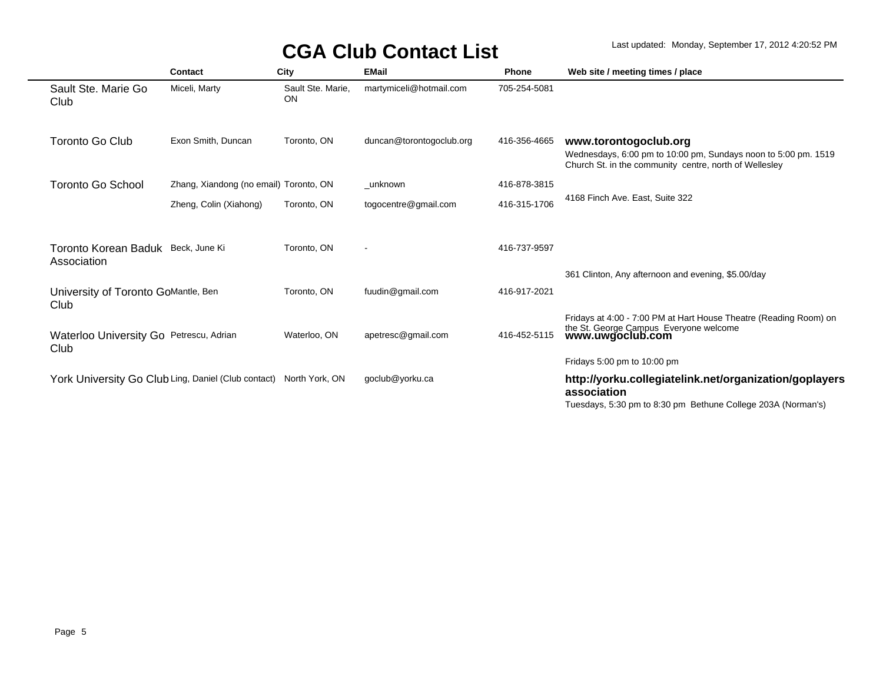|                                                     | Contact                                | City                           | <b>EMail</b>             | <b>Phone</b> | Web site / meeting times / place                                                                                                                               |
|-----------------------------------------------------|----------------------------------------|--------------------------------|--------------------------|--------------|----------------------------------------------------------------------------------------------------------------------------------------------------------------|
| Sault Ste. Marie Go<br>Club                         | Miceli, Marty                          | Sault Ste. Marie,<br><b>ON</b> | martymiceli@hotmail.com  | 705-254-5081 |                                                                                                                                                                |
| <b>Toronto Go Club</b>                              | Exon Smith, Duncan                     | Toronto, ON                    | duncan@torontogoclub.org | 416-356-4665 | www.torontogoclub.org<br>Wednesdays, 6:00 pm to 10:00 pm, Sundays noon to 5:00 pm. 1519<br>Church St. in the community centre, north of Wellesley              |
| <b>Toronto Go School</b>                            | Zhang, Xiandong (no email) Toronto, ON |                                | unknown                  | 416-878-3815 |                                                                                                                                                                |
|                                                     | Zheng, Colin (Xiahong)                 | Toronto, ON                    | togocentre@gmail.com     | 416-315-1706 | 4168 Finch Ave. East, Suite 322                                                                                                                                |
| Toronto Korean Baduk Beck, June Ki<br>Association   |                                        | Toronto, ON                    | $\blacksquare$           | 416-737-9597 | 361 Clinton, Any afternoon and evening, \$5.00/day                                                                                                             |
| University of Toronto GoMantle, Ben<br>Club         |                                        | Toronto, ON                    | fuudin@gmail.com         | 416-917-2021 |                                                                                                                                                                |
| Waterloo University Go Petrescu, Adrian<br>Club     |                                        | Waterloo, ON                   | apetresc@gmail.com       | 416-452-5115 | Fridays at 4:00 - 7:00 PM at Hart House Theatre (Reading Room) on<br>the St. George Campus Everyone welcome<br>www.uwgoclub.com<br>Fridays 5:00 pm to 10:00 pm |
| York University Go Club Ling, Daniel (Club contact) |                                        | North York, ON                 | goclub@yorku.ca          |              | http://yorku.collegiatelink.net/organization/goplayers<br>association<br>Tuesdays, 5:30 pm to 8:30 pm Bethune College 203A (Norman's)                          |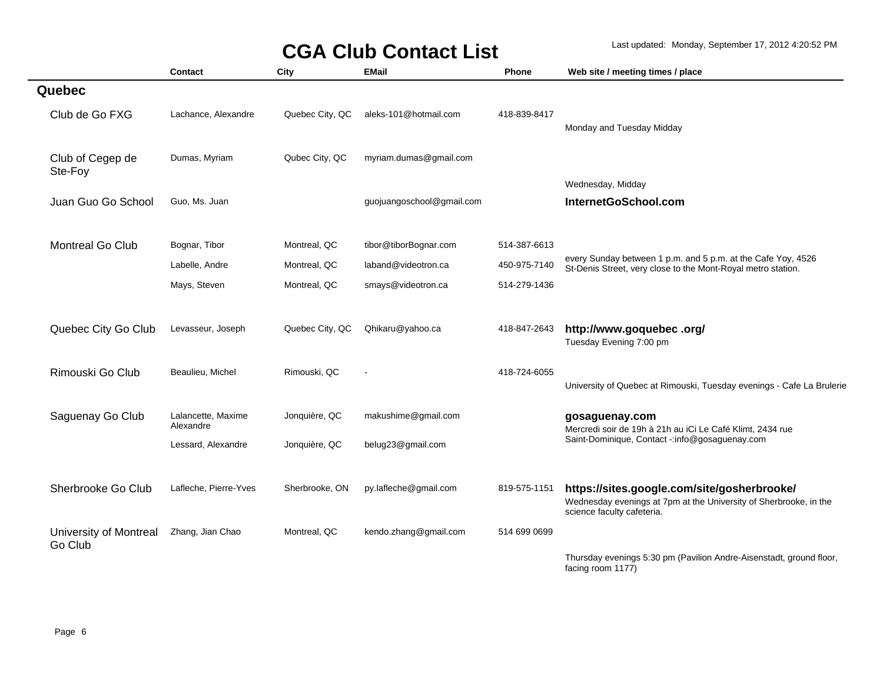|                                   | Contact                         | City            | <b>EMail</b>              | <b>Phone</b> | Web site / meeting times / place                                                                                                               |
|-----------------------------------|---------------------------------|-----------------|---------------------------|--------------|------------------------------------------------------------------------------------------------------------------------------------------------|
| Quebec                            |                                 |                 |                           |              |                                                                                                                                                |
| Club de Go FXG                    | Lachance, Alexandre             | Quebec City, QC | aleks-101@hotmail.com     | 418-839-8417 | Monday and Tuesday Midday                                                                                                                      |
| Club of Cegep de<br>Ste-Foy       | Dumas, Myriam                   | Qubec City, QC  | myriam.dumas@gmail.com    |              |                                                                                                                                                |
| Juan Guo Go School                | Guo, Ms. Juan                   |                 | guojuangoschool@gmail.com |              | Wednesday, Midday<br>InternetGoSchool.com                                                                                                      |
| <b>Montreal Go Club</b>           | Bognar, Tibor                   | Montreal, QC    | tibor@tiborBognar.com     | 514-387-6613 |                                                                                                                                                |
|                                   | Labelle, Andre                  | Montreal, QC    | laband@videotron.ca       | 450-975-7140 | every Sunday between 1 p.m. and 5 p.m. at the Cafe Yoy, 4526<br>St-Denis Street, very close to the Mont-Royal metro station.                   |
|                                   | Mays, Steven                    | Montreal, QC    | smays@videotron.ca        | 514-279-1436 |                                                                                                                                                |
| Quebec City Go Club               | Levasseur, Joseph               | Quebec City, QC | Qhikaru@yahoo.ca          | 418-847-2643 | http://www.goquebec.org/<br>Tuesday Evening 7:00 pm                                                                                            |
| Rimouski Go Club                  | Beaulieu, Michel                | Rimouski, QC    |                           | 418-724-6055 | University of Quebec at Rimouski, Tuesday evenings - Cafe La Brulerie                                                                          |
| Saguenay Go Club                  | Lalancette, Maxime<br>Alexandre | Jonquière, QC   | makushime@gmail.com       |              | gosaguenay.com<br>Mercredi soir de 19h à 21h au iCi Le Café Klimt, 2434 rue                                                                    |
|                                   | Lessard, Alexandre              | Jonquière, QC   | belug23@gmail.com         |              | Saint-Dominique, Contact -: info@gosaguenay.com                                                                                                |
| Sherbrooke Go Club                | Lafleche, Pierre-Yves           | Sherbrooke, ON  | py.lafleche@gmail.com     | 819-575-1151 | https://sites.google.com/site/gosherbrooke/<br>Wednesday evenings at 7pm at the University of Sherbrooke, in the<br>science faculty cafeteria. |
| University of Montreal<br>Go Club | Zhang, Jian Chao                | Montreal, QC    | kendo.zhang@gmail.com     | 514 699 0699 |                                                                                                                                                |
|                                   |                                 |                 |                           |              | Thursday evenings 5:30 pm (Pavilion Andre-Aisenstadt, ground floor,<br>facing room 1177)                                                       |